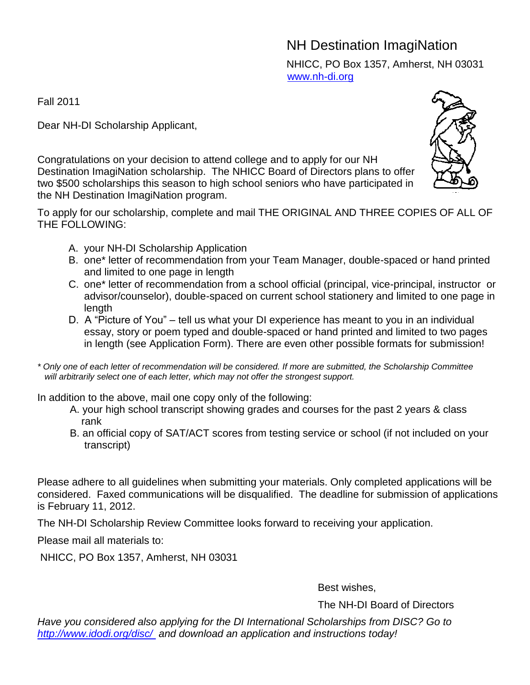## NH Destination ImagiNation NHICC, PO Box 1357, Amherst, NH 03031 [www.nh-di.org](http://www.nh-di.org/)

Fall 2011

Dear NH-DI Scholarship Applicant,

Congratulations on your decision to attend college and to apply for our NH Destination ImagiNation scholarship. The NHICC Board of Directors plans to offer two \$500 scholarships this season to high school seniors who have participated in the NH Destination ImagiNation program.

To apply for our scholarship, complete and mail THE ORIGINAL AND THREE COPIES OF ALL OF THE FOLLOWING:

- A. your NH-DI Scholarship Application
- B. one\* letter of recommendation from your Team Manager, double-spaced or hand printed and limited to one page in length
- C. one\* letter of recommendation from a school official (principal, vice-principal, instructor or advisor/counselor), double-spaced on current school stationery and limited to one page in length
- D. A "Picture of You" tell us what your DI experience has meant to you in an individual essay, story or poem typed and double-spaced or hand printed and limited to two pages in length (see Application Form). There are even other possible formats for submission!
- *\* Only one of each letter of recommendation will be considered. If more are submitted, the Scholarship Committee will arbitrarily select one of each letter, which may not offer the strongest support.*

In addition to the above, mail one copy only of the following:

- A. your high school transcript showing grades and courses for the past 2 years & class rank
- B. an official copy of SAT/ACT scores from testing service or school (if not included on your transcript)

Please adhere to all guidelines when submitting your materials. Only completed applications will be considered. Faxed communications will be disqualified. The deadline for submission of applications is February 11, 2012.

The NH-DI Scholarship Review Committee looks forward to receiving your application.

Please mail all materials to:

NHICC, PO Box 1357, Amherst, NH 03031

Best wishes,

The NH-DI Board of Directors

*Have you considered also applying for the DI International Scholarships from DISC? Go to [http://www.idodi.org/disc/](http://www.vombo.org/scholar03/index.html) and download an application and instructions today!*

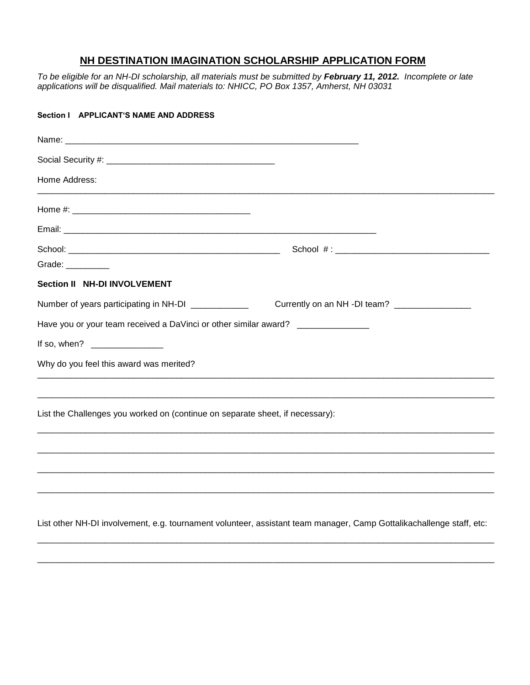## **NH DESTINATION IMAGINATION SCHOLARSHIP APPLICATION FORM**

*To be eligible for an NH-DI scholarship, all materials must be submitted by February 11, 2012. Incomplete or late applications will be disqualified. Mail materials to: NHICC, PO Box 1357, Amherst, NH 03031*

| Section   APPLICANT'S NAME AND ADDRESS                                                                               |                                                |
|----------------------------------------------------------------------------------------------------------------------|------------------------------------------------|
|                                                                                                                      |                                                |
|                                                                                                                      |                                                |
| Home Address:                                                                                                        |                                                |
|                                                                                                                      |                                                |
|                                                                                                                      |                                                |
|                                                                                                                      |                                                |
| Grade: __________                                                                                                    |                                                |
| Section II NH-DI INVOLVEMENT                                                                                         |                                                |
| Number of years participating in NH-DI ____________                                                                  | Currently on an NH -DI team? _________________ |
| Have you or your team received a DaVinci or other similar award? _______________                                     |                                                |
| If so, when? _________________                                                                                       |                                                |
| Why do you feel this award was merited?                                                                              |                                                |
|                                                                                                                      |                                                |
| List the Challenges you worked on (continue on separate sheet, if necessary):                                        |                                                |
|                                                                                                                      |                                                |
|                                                                                                                      |                                                |
|                                                                                                                      |                                                |
|                                                                                                                      |                                                |
| List other NH-DI involvement, e.g. tournament volunteer, assistant team manager, Camp Gottalikachallenge staff, etc: |                                                |

\_\_\_\_\_\_\_\_\_\_\_\_\_\_\_\_\_\_\_\_\_\_\_\_\_\_\_\_\_\_\_\_\_\_\_\_\_\_\_\_\_\_\_\_\_\_\_\_\_\_\_\_\_\_\_\_\_\_\_\_\_\_\_\_\_\_\_\_\_\_\_\_\_\_\_\_\_\_\_\_\_\_\_\_\_\_\_\_\_\_\_\_\_\_\_